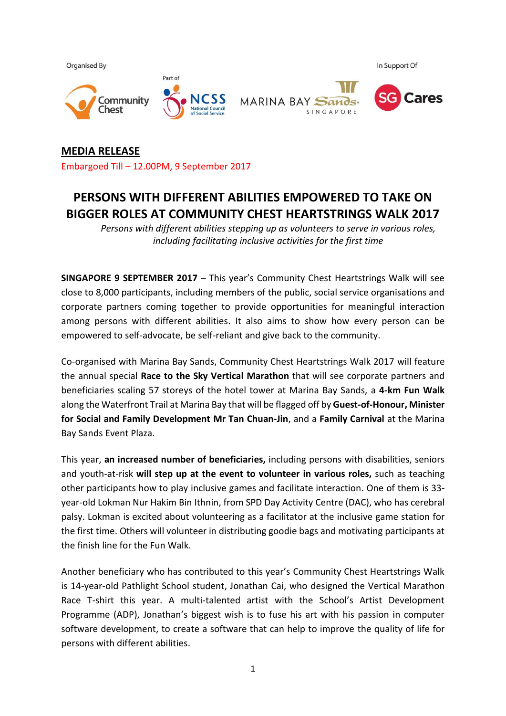

**MEDIA RELEASE** Embargoed Till – 12.00PM, 9 September 2017

# **PERSONS WITH DIFFERENT ABILITIES EMPOWERED TO TAKE ON BIGGER ROLES AT COMMUNITY CHEST HEARTSTRINGS WALK 2017**

*Persons with different abilities stepping up as volunteers to serve in various roles, including facilitating inclusive activities for the first time*

**SINGAPORE 9 SEPTEMBER 2017** – This year's Community Chest Heartstrings Walk will see close to 8,000 participants, including members of the public, social service organisations and corporate partners coming together to provide opportunities for meaningful interaction among persons with different abilities. It also aims to show how every person can be empowered to self-advocate, be self-reliant and give back to the community.

Co-organised with Marina Bay Sands, Community Chest Heartstrings Walk 2017 will feature the annual special **Race to the Sky Vertical Marathon** that will see corporate partners and beneficiaries scaling 57 storeys of the hotel tower at Marina Bay Sands, a **4-km Fun Walk** along the Waterfront Trail at Marina Bay that will be flagged off by **Guest-of-Honour, Minister for Social and Family Development Mr Tan Chuan-Jin**, and a **Family Carnival** at the Marina Bay Sands Event Plaza.

This year, **an increased number of beneficiaries,** including persons with disabilities, seniors and youth-at-risk **will step up at the event to volunteer in various roles,** such as teaching other participants how to play inclusive games and facilitate interaction. One of them is 33 year-old Lokman Nur Hakim Bin Ithnin, from SPD Day Activity Centre (DAC), who has cerebral palsy. Lokman is excited about volunteering as a facilitator at the inclusive game station for the first time. Others will volunteer in distributing goodie bags and motivating participants at the finish line for the Fun Walk.

Another beneficiary who has contributed to this year's Community Chest Heartstrings Walk is 14-year-old Pathlight School student, Jonathan Cai, who designed the Vertical Marathon Race T-shirt this year. A multi-talented artist with the School's Artist Development Programme (ADP), Jonathan's biggest wish is to fuse his art with his passion in computer software development, to create a software that can help to improve the quality of life for persons with different abilities.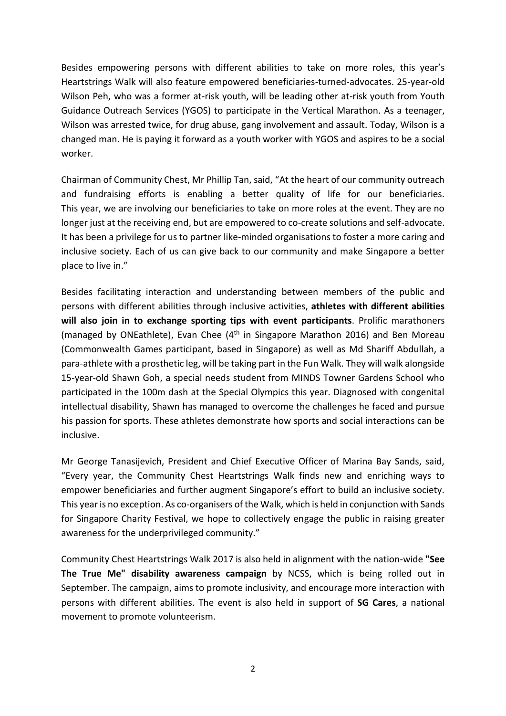Besides empowering persons with different abilities to take on more roles, this year's Heartstrings Walk will also feature empowered beneficiaries-turned-advocates. 25-year-old Wilson Peh, who was a former at-risk youth, will be leading other at-risk youth from Youth Guidance Outreach Services (YGOS) to participate in the Vertical Marathon. As a teenager, Wilson was arrested twice, for drug abuse, gang involvement and assault. Today, Wilson is a changed man. He is paying it forward as a youth worker with YGOS and aspires to be a social worker.

Chairman of Community Chest, Mr Phillip Tan, said, "At the heart of our community outreach and fundraising efforts is enabling a better quality of life for our beneficiaries. This year, we are involving our beneficiaries to take on more roles at the event. They are no longer just at the receiving end, but are empowered to co-create solutions and self-advocate. It has been a privilege for us to partner like-minded organisations to foster a more caring and inclusive society. Each of us can give back to our community and make Singapore a better place to live in."

Besides facilitating interaction and understanding between members of the public and persons with different abilities through inclusive activities, **athletes with different abilities will also join in to exchange sporting tips with event participants**. Prolific marathoners (managed by ONEathlete), Evan Chee (4<sup>th</sup> in Singapore Marathon 2016) and Ben Moreau (Commonwealth Games participant, based in Singapore) as well as Md Shariff Abdullah, a para-athlete with a prosthetic leg, will be taking part in the Fun Walk. They will walk alongside 15-year-old Shawn Goh, a special needs student from MINDS Towner Gardens School who participated in the 100m dash at the Special Olympics this year. Diagnosed with congenital intellectual disability, Shawn has managed to overcome the challenges he faced and pursue his passion for sports. These athletes demonstrate how sports and social interactions can be inclusive.

Mr George Tanasijevich, President and Chief Executive Officer of Marina Bay Sands, said, "Every year, the Community Chest Heartstrings Walk finds new and enriching ways to empower beneficiaries and further augment Singapore's effort to build an inclusive society. This year is no exception. As co-organisers of the Walk, which is held in conjunction with Sands for Singapore Charity Festival, we hope to collectively engage the public in raising greater awareness for the underprivileged community."

Community Chest Heartstrings Walk 2017 is also held in alignment with the nation-wide **"See The True Me" disability awareness campaign** by NCSS, which is being rolled out in September. The campaign, aims to promote inclusivity, and encourage more interaction with persons with different abilities. The event is also held in support of **SG Cares**, a national movement to promote volunteerism.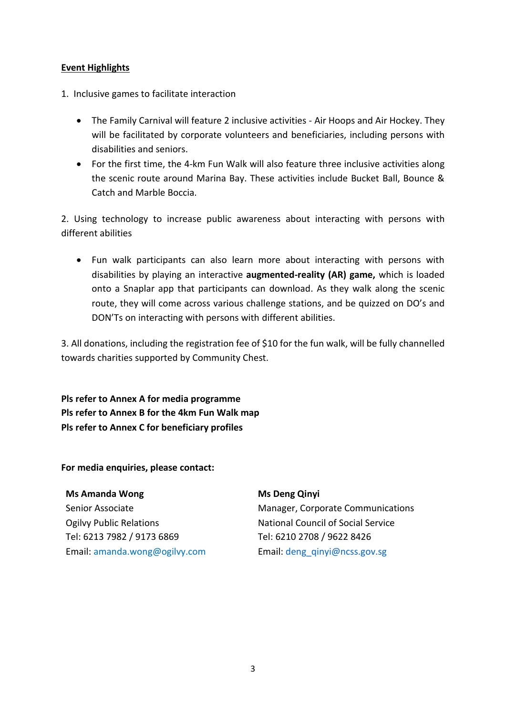## **Event Highlights**

- 1. Inclusive games to facilitate interaction
	- The Family Carnival will feature 2 inclusive activities Air Hoops and Air Hockey. They will be facilitated by corporate volunteers and beneficiaries, including persons with disabilities and seniors.
	- For the first time, the 4-km Fun Walk will also feature three inclusive activities along the scenic route around Marina Bay. These activities include Bucket Ball, Bounce & Catch and Marble Boccia.

2. Using technology to increase public awareness about interacting with persons with different abilities

 Fun walk participants can also learn more about interacting with persons with disabilities by playing an interactive **augmented-reality (AR) game,** which is loaded onto a Snaplar app that participants can download. As they walk along the scenic route, they will come across various challenge stations, and be quizzed on DO's and DON'Ts on interacting with persons with different abilities.

3. All donations, including the registration fee of \$10 for the fun walk, will be fully channelled towards charities supported by Community Chest.

**Pls refer to Annex A for media programme Pls refer to Annex B for the 4km Fun Walk map Pls refer to Annex C for beneficiary profiles**

**For media enquiries, please contact:** 

**Ms Amanda Wong** Senior Associate Ogilvy Public Relations Tel: 6213 7982 / 9173 6869 Email: [amanda.wong@ogilvy.com](mailto:amanda.wong@ogilvy.com) **Ms Deng Qinyi**

Manager, Corporate Communications National Council of Social Service Tel: 6210 2708 / 9622 8426 Email: [deng\\_qinyi@ncss.gov.sg](mailto:deng_qinyi@ncss.gov.sg)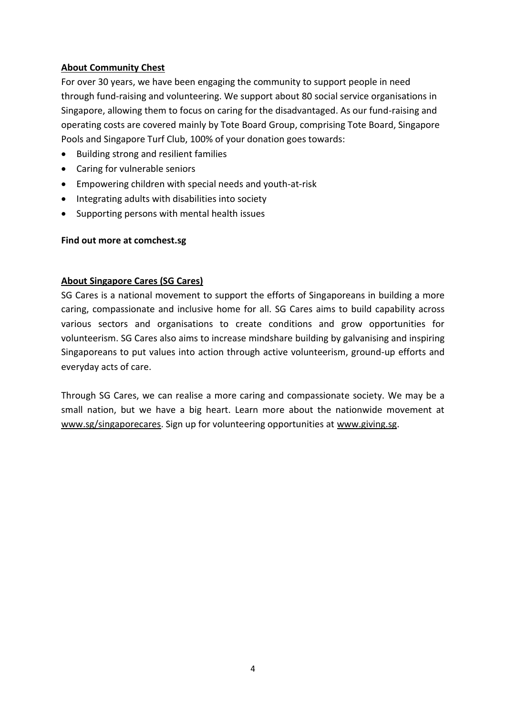## **About Community Chest**

For over 30 years, we have been engaging the community to support people in need through fund-raising and volunteering. We support about 80 social service organisations in Singapore, allowing them to focus on caring for the disadvantaged. As our fund-raising and operating costs are covered mainly by Tote Board Group, comprising Tote Board, Singapore Pools and Singapore Turf Club, 100% of your donation goes towards:

- Building strong and resilient families
- Caring for vulnerable seniors
- Empowering children with special needs and youth-at-risk
- Integrating adults with disabilities into society
- Supporting persons with mental health issues

#### **Find out more at comchest.sg**

## **About Singapore Cares (SG Cares)**

SG Cares is a national movement to support the efforts of Singaporeans in building a more caring, compassionate and inclusive home for all. SG Cares aims to build capability across various sectors and organisations to create conditions and grow opportunities for volunteerism. SG Cares also aims to increase mindshare building by galvanising and inspiring Singaporeans to put values into action through active volunteerism, ground-up efforts and everyday acts of care.

Through SG Cares, we can realise a more caring and compassionate society. We may be a small nation, but we have a big heart. Learn more about the nationwide movement at [www.sg/singaporecares.](http://www.sg/singaporecares) Sign up for volunteering opportunities at [www.giving.sg.](http://www.giving.sg/)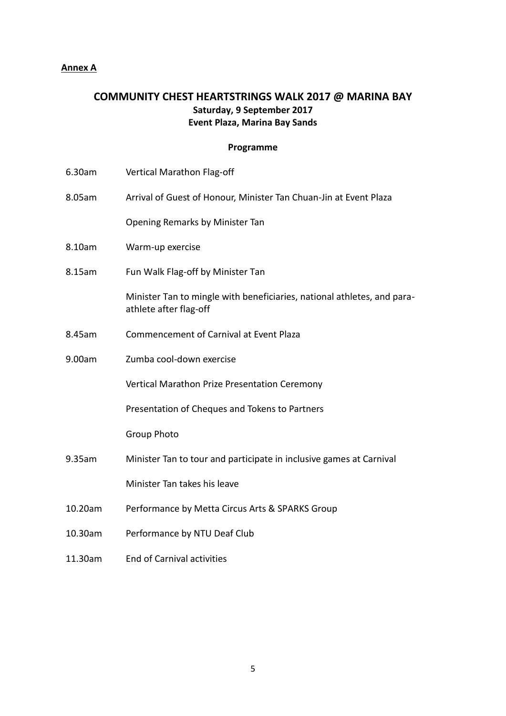## **Annex A**

# **COMMUNITY CHEST HEARTSTRINGS WALK 2017 @ MARINA BAY Saturday, 9 September 2017 Event Plaza, Marina Bay Sands**

## **Programme**

| 6.30am  | Vertical Marathon Flag-off                                                                        |
|---------|---------------------------------------------------------------------------------------------------|
| 8.05am  | Arrival of Guest of Honour, Minister Tan Chuan-Jin at Event Plaza                                 |
|         | Opening Remarks by Minister Tan                                                                   |
| 8.10am  | Warm-up exercise                                                                                  |
| 8.15am  | Fun Walk Flag-off by Minister Tan                                                                 |
|         | Minister Tan to mingle with beneficiaries, national athletes, and para-<br>athlete after flag-off |
| 8.45am  | <b>Commencement of Carnival at Event Plaza</b>                                                    |
| 9.00am  | Zumba cool-down exercise                                                                          |
|         | Vertical Marathon Prize Presentation Ceremony                                                     |
|         | Presentation of Cheques and Tokens to Partners                                                    |
|         | <b>Group Photo</b>                                                                                |
| 9.35am  | Minister Tan to tour and participate in inclusive games at Carnival                               |
|         | Minister Tan takes his leave                                                                      |
| 10.20am | Performance by Metta Circus Arts & SPARKS Group                                                   |
| 10.30am | Performance by NTU Deaf Club                                                                      |
| 11.30am | <b>End of Carnival activities</b>                                                                 |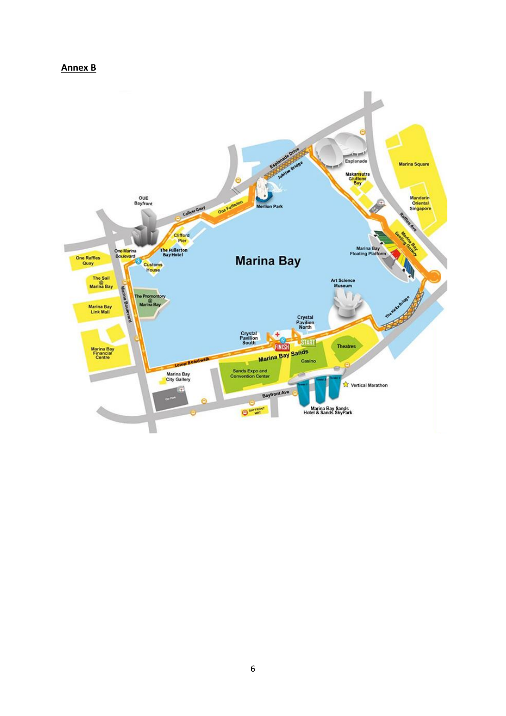#### **Annex B**

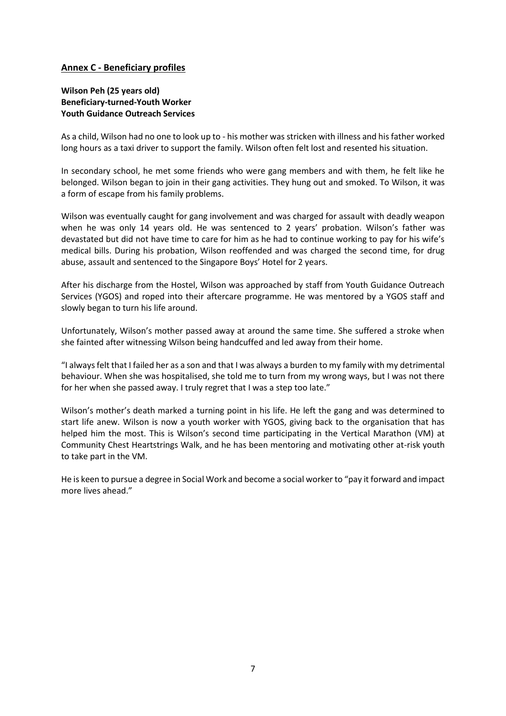#### **Annex C - Beneficiary profiles**

#### **Wilson Peh (25 years old) Beneficiary-turned-Youth Worker Youth Guidance Outreach Services**

As a child, Wilson had no one to look up to - his mother was stricken with illness and his father worked long hours as a taxi driver to support the family. Wilson often felt lost and resented his situation.

In secondary school, he met some friends who were gang members and with them, he felt like he belonged. Wilson began to join in their gang activities. They hung out and smoked. To Wilson, it was a form of escape from his family problems.

Wilson was eventually caught for gang involvement and was charged for assault with deadly weapon when he was only 14 years old. He was sentenced to 2 years' probation. Wilson's father was devastated but did not have time to care for him as he had to continue working to pay for his wife's medical bills. During his probation, Wilson reoffended and was charged the second time, for drug abuse, assault and sentenced to the Singapore Boys' Hotel for 2 years.

After his discharge from the Hostel, Wilson was approached by staff from Youth Guidance Outreach Services (YGOS) and roped into their aftercare programme. He was mentored by a YGOS staff and slowly began to turn his life around.

Unfortunately, Wilson's mother passed away at around the same time. She suffered a stroke when she fainted after witnessing Wilson being handcuffed and led away from their home.

"I always felt that I failed her as a son and that I was always a burden to my family with my detrimental behaviour. When she was hospitalised, she told me to turn from my wrong ways, but I was not there for her when she passed away. I truly regret that I was a step too late."

Wilson's mother's death marked a turning point in his life. He left the gang and was determined to start life anew. Wilson is now a youth worker with YGOS, giving back to the organisation that has helped him the most. This is Wilson's second time participating in the Vertical Marathon (VM) at Community Chest Heartstrings Walk, and he has been mentoring and motivating other at-risk youth to take part in the VM.

He is keen to pursue a degree in Social Work and become a social worker to "pay it forward and impact more lives ahead."